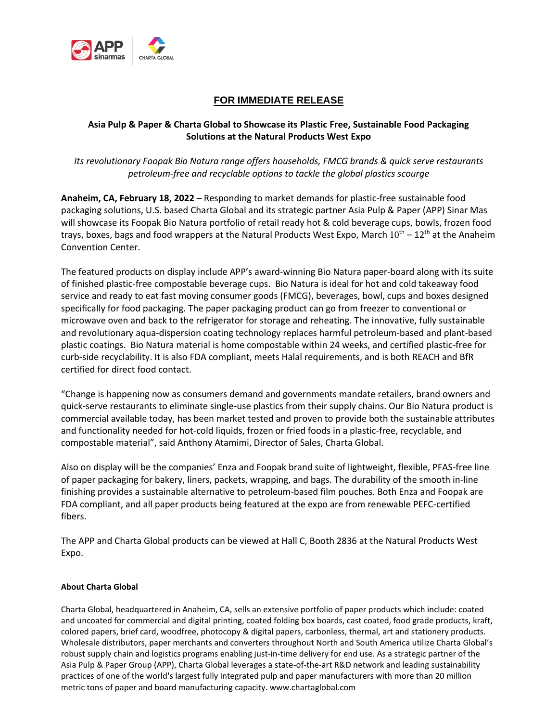

## **FOR IMMEDIATE RELEASE**

## **Asia Pulp & Paper & Charta Global to Showcase its Plastic Free, Sustainable Food Packaging Solutions at the Natural Products West Expo**

*Its revolutionary Foopak Bio Natura range offers households, FMCG brands & quick serve restaurants petroleum-free and recyclable options to tackle the global plastics scourge* 

**Anaheim, CA, February 18, 2022** – Responding to market demands for plastic-free sustainable food packaging solutions, U.S. based Charta Global and its strategic partner Asia Pulp & Paper (APP) Sinar Mas will showcase its Foopak Bio Natura portfolio of retail ready hot & cold beverage cups, bowls, frozen food trays, boxes, bags and food wrappers at the Natural Products West Expo, March  $10^{th} - 12^{th}$  at the Anaheim Convention Center.

The featured products on display include APP's award-winning Bio Natura paper-board along with its suite of finished plastic-free compostable beverage cups. Bio Natura is ideal for hot and cold takeaway food service and ready to eat fast moving consumer goods (FMCG), beverages, bowl, cups and boxes designed specifically for food packaging. The paper packaging product can go from freezer to conventional or microwave oven and back to the refrigerator for storage and reheating. The innovative, fully sustainable and revolutionary aqua-dispersion coating technology replaces harmful petroleum-based and plant-based plastic coatings. Bio Natura material is home compostable within 24 weeks, and certified plastic-free for curb-side recyclability. It is also FDA compliant, meets Halal requirements, and is both REACH and BfR certified for direct food contact.

"Change is happening now as consumers demand and governments mandate retailers, brand owners and quick-serve restaurants to eliminate single-use plastics from their supply chains. Our Bio Natura product is commercial available today, has been market tested and proven to provide both the sustainable attributes and functionality needed for hot-cold liquids, frozen or fried foods in a plastic-free, recyclable, and compostable material", said Anthony Atamimi, Director of Sales, Charta Global.

Also on display will be the companies' Enza and Foopak brand suite of lightweight, flexible, PFAS-free line of paper packaging for bakery, liners, packets, wrapping, and bags. The durability of the smooth in-line finishing provides a sustainable alternative to petroleum-based film pouches. Both Enza and Foopak are FDA compliant, and all paper products being featured at the expo are from renewable PEFC-certified fibers.

The APP and Charta Global products can be viewed at Hall C, Booth 2836 at the Natural Products West Expo.

## **About Charta Global**

Charta Global, headquartered in Anaheim, CA, sells an extensive portfolio of paper products which include: coated and uncoated for commercial and digital printing, coated folding box boards, cast coated, food grade products, kraft, colored papers, brief card, woodfree, photocopy & digital papers, carbonless, thermal, art and stationery products. Wholesale distributors, paper merchants and converters throughout North and South America utilize Charta Global's robust supply chain and logistics programs enabling just-in-time delivery for end use. As a strategic partner of the Asia Pulp & Paper Group (APP), Charta Global leverages a state-of-the-art R&D network and leading sustainability practices of one of the world's largest fully integrated pulp and paper manufacturers with more than 20 million metric tons of paper and board manufacturing capacity. www.chartaglobal.com